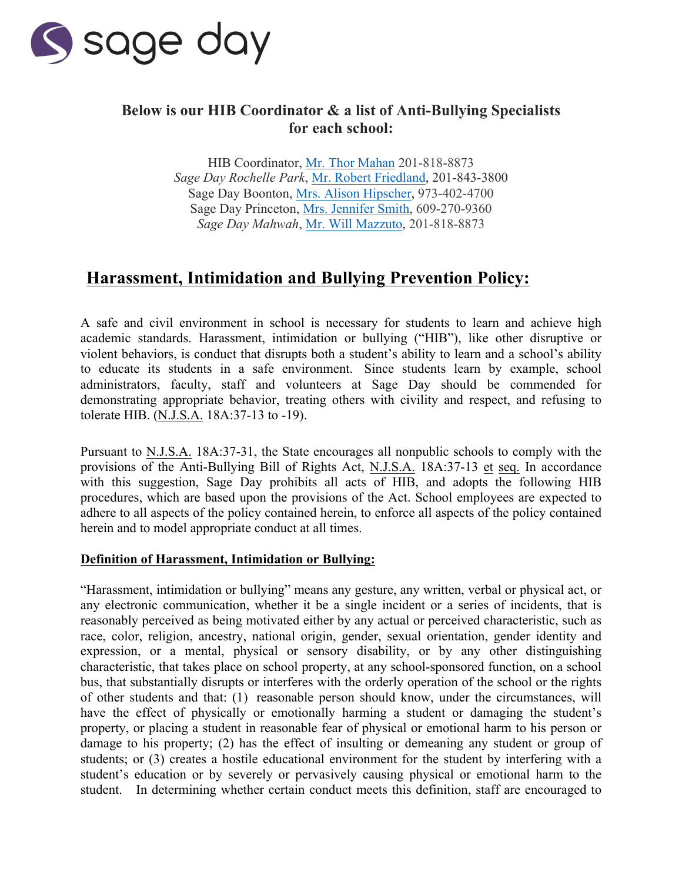

## **Below is our HIB Coordinator & a list of Anti-Bullying Specialists for each school:**

HIB Coordinator, [Mr. Thor Mahan](mailto:tmahan@sageday.com) 201-818-8873 *Sage Day Rochelle Park*, [Mr. Robert Friedland, 2](mailto:rfriedland@sageday.com)01-843-3800 Sage Day Boonton[, Mrs. Alison Hipscher,](mailto:ahipscher@sageday.com) 973-402-4700 Sage Day Princeton, [Mrs. Jennifer Smith,](mailto:jsmith1@sageday.com) 609-270-9360 *Sage Day Mahwah*[, Mr. Will Mazzuto,](mailto:wmazzuto@sageday.com) 201-818-8873

# **Harassment, Intimidation and Bullying Prevention Policy:**

A safe and civil environment in school is necessary for students to learn and achieve high academic standards. Harassment, intimidation or bullying ("HIB"), like other disruptive or violent behaviors, is conduct that disrupts both a student's ability to learn and a school's ability to educate its students in a safe environment. Since students learn by example, school administrators, faculty, staff and volunteers at Sage Day should be commended for demonstrating appropriate behavior, treating others with civility and respect, and refusing to tolerate HIB. (N.J.S.A. 18A:37-13 to -19).

Pursuant to N.J.S.A. 18A:37-31, the State encourages all nonpublic schools to comply with the provisions of the Anti-Bullying Bill of Rights Act, N.J.S.A. 18A:37-13 et seq. In accordance with this suggestion, Sage Day prohibits all acts of  $\overline{\text{HB}}$ , and adopts the following HIB procedures, which are based upon the provisions of the Act. School employees are expected to adhere to all aspects of the policy contained herein, to enforce all aspects of the policy contained herein and to model appropriate conduct at all times.

#### **Definition of Harassment, Intimidation or Bullying:**

"Harassment, intimidation or bullying" means any gesture, any written, verbal or physical act, or any electronic communication, whether it be a single incident or a series of incidents, that is reasonably perceived as being motivated either by any actual or perceived characteristic, such as race, color, religion, ancestry, national origin, gender, sexual orientation, gender identity and expression, or a mental, physical or sensory disability, or by any other distinguishing characteristic, that takes place on school property, at any school-sponsored function, on a school bus, that substantially disrupts or interferes with the orderly operation of the school or the rights of other students and that: (1) reasonable person should know, under the circumstances, will have the effect of physically or emotionally harming a student or damaging the student's property, or placing a student in reasonable fear of physical or emotional harm to his person or damage to his property; (2) has the effect of insulting or demeaning any student or group of students; or (3) creates a hostile educational environment for the student by interfering with a student's education or by severely or pervasively causing physical or emotional harm to the student. In determining whether certain conduct meets this definition, staff are encouraged to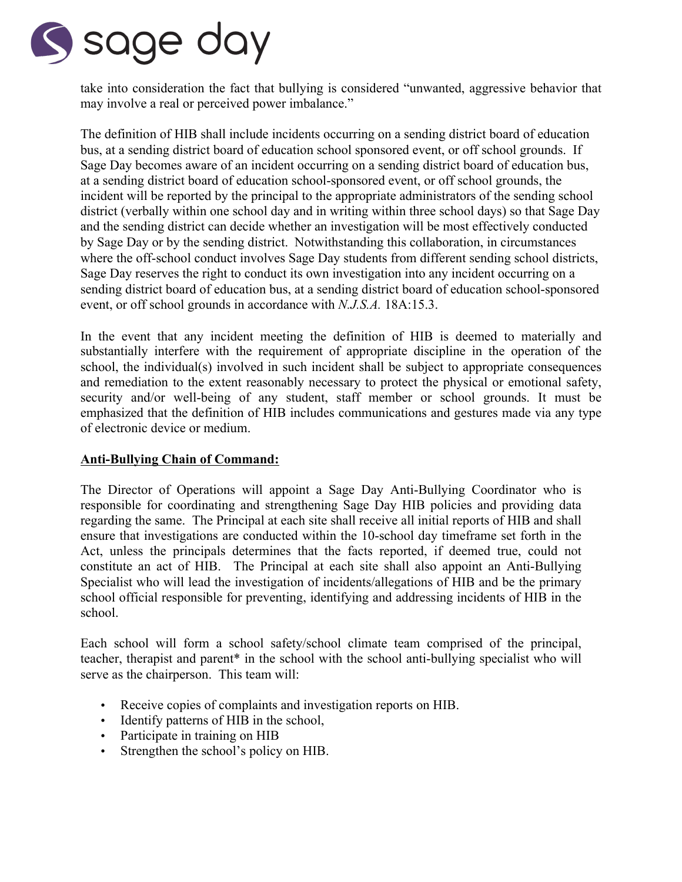

take into consideration the fact that bullying is considered "unwanted, aggressive behavior that may involve a real or perceived power imbalance."

The definition of HIB shall include incidents occurring on a sending district board of education bus, at a sending district board of education school sponsored event, or off school grounds. If Sage Day becomes aware of an incident occurring on a sending district board of education bus, at a sending district board of education school-sponsored event, or off school grounds, the incident will be reported by the principal to the appropriate administrators of the sending school district (verbally within one school day and in writing within three school days) so that Sage Day and the sending district can decide whether an investigation will be most effectively conducted by Sage Day or by the sending district. Notwithstanding this collaboration, in circumstances where the off-school conduct involves Sage Day students from different sending school districts, Sage Day reserves the right to conduct its own investigation into any incident occurring on a sending district board of education bus, at a sending district board of education school-sponsored event, or off school grounds in accordance with *N.J.S.A.* 18A:15.3. 

In the event that any incident meeting the definition of HIB is deemed to materially and substantially interfere with the requirement of appropriate discipline in the operation of the school, the individual(s) involved in such incident shall be subject to appropriate consequences and remediation to the extent reasonably necessary to protect the physical or emotional safety, security and/or well-being of any student, staff member or school grounds. It must be emphasized that the definition of HIB includes communications and gestures made via any type of electronic device or medium.

### **Anti-Bullying Chain of Command:**

The Director of Operations will appoint a Sage Day Anti-Bullying Coordinator who is responsible for coordinating and strengthening Sage Day HIB policies and providing data regarding the same. The Principal at each site shall receive all initial reports of HIB and shall ensure that investigations are conducted within the 10-school day timeframe set forth in the Act, unless the principals determines that the facts reported, if deemed true, could not constitute an act of HIB. The Principal at each site shall also appoint an Anti-Bullying Specialist who will lead the investigation of incidents/allegations of HIB and be the primary school official responsible for preventing, identifying and addressing incidents of HIB in the school.

Each school will form a school safety/school climate team comprised of the principal, teacher, therapist and parent\* in the school with the school anti-bullying specialist who will serve as the chairperson. This team will:

- Receive copies of complaints and investigation reports on HIB.
- Identify patterns of HIB in the school,
- Participate in training on HIB
- Strengthen the school's policy on HIB.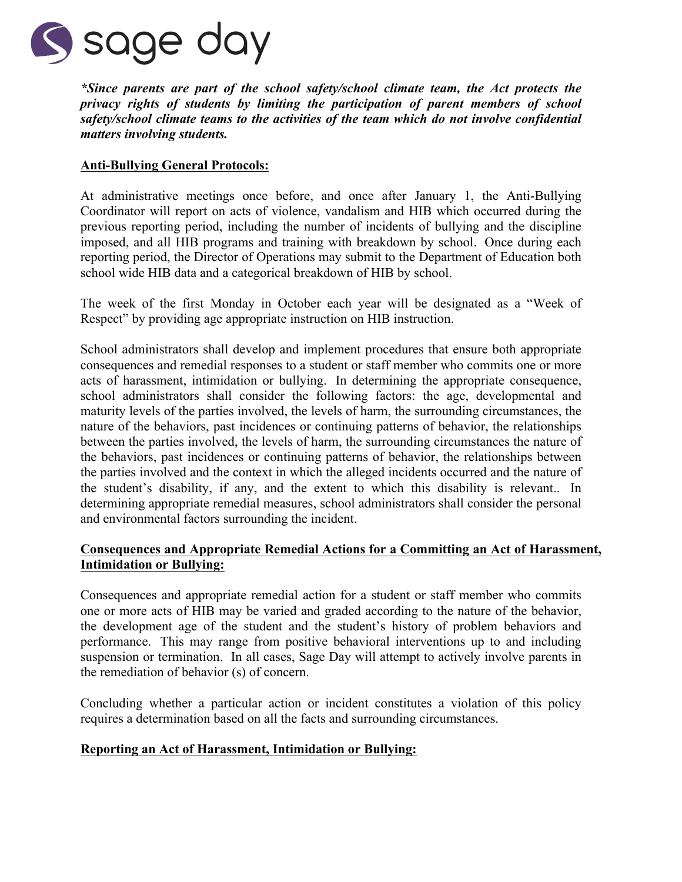

*\*Since parents are part of the school safety/school climate team, the Act protects the privacy rights of students by limiting the participation of parent members of school safety/school climate teams to the activities of the team which do not involve confidential matters involving students.*

#### **Anti-Bullying General Protocols:**

At administrative meetings once before, and once after January 1, the Anti-Bullying Coordinator will report on acts of violence, vandalism and HIB which occurred during the previous reporting period, including the number of incidents of bullying and the discipline imposed, and all HIB programs and training with breakdown by school. Once during each reporting period, the Director of Operations may submit to the Department of Education both school wide HIB data and a categorical breakdown of HIB by school.

The week of the first Monday in October each year will be designated as a "Week of Respect" by providing age appropriate instruction on HIB instruction.

School administrators shall develop and implement procedures that ensure both appropriate consequences and remedial responses to a student or staff member who commits one or more acts of harassment, intimidation or bullying. In determining the appropriate consequence, school administrators shall consider the following factors: the age, developmental and maturity levels of the parties involved, the levels of harm, the surrounding circumstances, the nature of the behaviors, past incidences or continuing patterns of behavior, the relationships between the parties involved, the levels of harm, the surrounding circumstances the nature of the behaviors, past incidences or continuing patterns of behavior, the relationships between the parties involved and the context in which the alleged incidents occurred and the nature of the student's disability, if any, and the extent to which this disability is relevant.. In determining appropriate remedial measures, school administrators shall consider the personal and environmental factors surrounding the incident.

#### **Consequences and Appropriate Remedial Actions for a Committing an Act of Harassment, Intimidation or Bullying:**

Consequences and appropriate remedial action for a student or staff member who commits one or more acts of HIB may be varied and graded according to the nature of the behavior, the development age of the student and the student's history of problem behaviors and performance. This may range from positive behavioral interventions up to and including suspension or termination. In all cases, Sage Day will attempt to actively involve parents in the remediation of behavior (s) of concern.

Concluding whether a particular action or incident constitutes a violation of this policy requires a determination based on all the facts and surrounding circumstances.

#### **Reporting an Act of Harassment, Intimidation or Bullying:**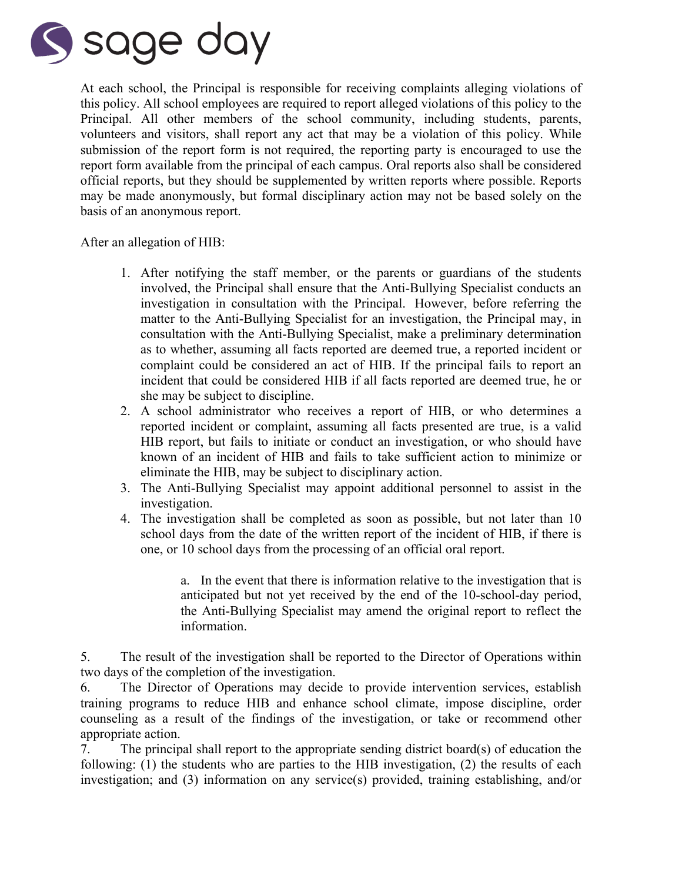

At each school, the Principal is responsible for receiving complaints alleging violations of this policy. All school employees are required to report alleged violations of this policy to the Principal. All other members of the school community, including students, parents, volunteers and visitors, shall report any act that may be a violation of this policy. While submission of the report form is not required, the reporting party is encouraged to use the report form available from the principal of each campus. Oral reports also shall be considered official reports, but they should be supplemented by written reports where possible. Reports may be made anonymously, but formal disciplinary action may not be based solely on the basis of an anonymous report.

After an allegation of HIB:

- 1. After notifying the staff member, or the parents or guardians of the students involved, the Principal shall ensure that the Anti-Bullying Specialist conducts an investigation in consultation with the Principal. However, before referring the matter to the Anti-Bullying Specialist for an investigation, the Principal may, in consultation with the Anti-Bullying Specialist, make a preliminary determination as to whether, assuming all facts reported are deemed true, a reported incident or complaint could be considered an act of HIB. If the principal fails to report an incident that could be considered HIB if all facts reported are deemed true, he or she may be subject to discipline.
- 2. A school administrator who receives a report of HIB, or who determines a reported incident or complaint, assuming all facts presented are true, is a valid HIB report, but fails to initiate or conduct an investigation, or who should have known of an incident of HIB and fails to take sufficient action to minimize or eliminate the HIB, may be subject to disciplinary action.
- 3. The Anti-Bullying Specialist may appoint additional personnel to assist in the investigation.
- 4. The investigation shall be completed as soon as possible, but not later than 10 school days from the date of the written report of the incident of HIB, if there is one, or 10 school days from the processing of an official oral report.

a. In the event that there is information relative to the investigation that is anticipated but not yet received by the end of the 10-school-day period, the Anti-Bullying Specialist may amend the original report to reflect the information.

5. The result of the investigation shall be reported to the Director of Operations within two days of the completion of the investigation.

6. The Director of Operations may decide to provide intervention services, establish training programs to reduce HIB and enhance school climate, impose discipline, order counseling as a result of the findings of the investigation, or take or recommend other appropriate action.

7. The principal shall report to the appropriate sending district board(s) of education the following: (1) the students who are parties to the HIB investigation, (2) the results of each investigation; and (3) information on any service(s) provided, training establishing, and/or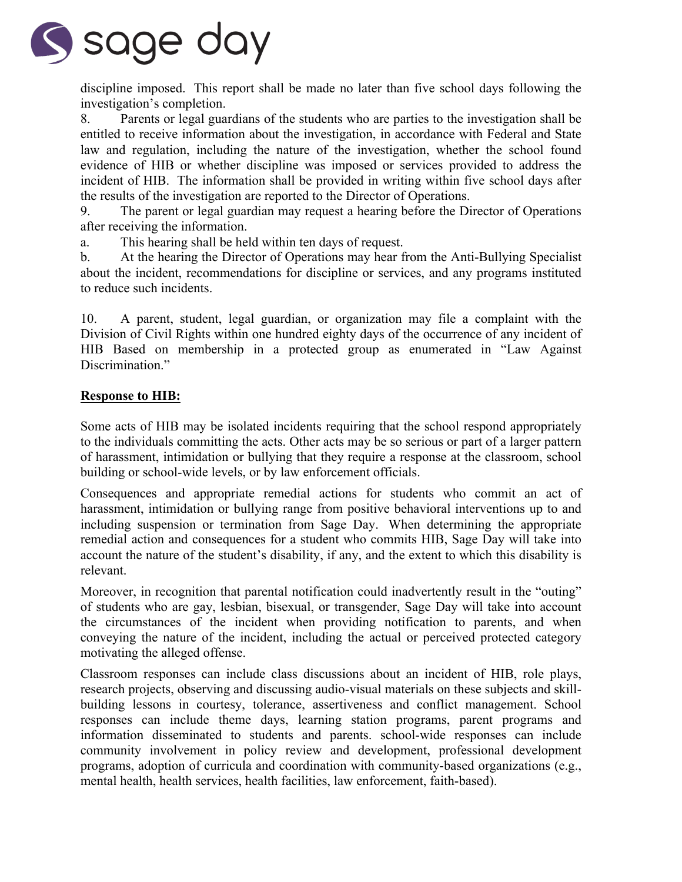

discipline imposed. This report shall be made no later than five school days following the investigation's completion.

8. Parents or legal guardians of the students who are parties to the investigation shall be entitled to receive information about the investigation, in accordance with Federal and State law and regulation, including the nature of the investigation, whether the school found evidence of HIB or whether discipline was imposed or services provided to address the incident of HIB. The information shall be provided in writing within five school days after the results of the investigation are reported to the Director of Operations.

9. The parent or legal guardian may request a hearing before the Director of Operations after receiving the information.

a. This hearing shall be held within ten days of request.

b. At the hearing the Director of Operations may hear from the Anti-Bullying Specialist about the incident, recommendations for discipline or services, and any programs instituted to reduce such incidents.

10. A parent, student, legal guardian, or organization may file a complaint with the Division of Civil Rights within one hundred eighty days of the occurrence of any incident of HIB Based on membership in a protected group as enumerated in "Law Against Discrimination."

#### **Response to HIB:**

Some acts of HIB may be isolated incidents requiring that the school respond appropriately to the individuals committing the acts. Other acts may be so serious or part of a larger pattern of harassment, intimidation or bullying that they require a response at the classroom, school building or school-wide levels, or by law enforcement officials.

Consequences and appropriate remedial actions for students who commit an act of harassment, intimidation or bullying range from positive behavioral interventions up to and including suspension or termination from Sage Day. When determining the appropriate remedial action and consequences for a student who commits HIB, Sage Day will take into account the nature of the student's disability, if any, and the extent to which this disability is relevant.

Moreover, in recognition that parental notification could inadvertently result in the "outing" of students who are gay, lesbian, bisexual, or transgender, Sage Day will take into account the circumstances of the incident when providing notification to parents, and when conveying the nature of the incident, including the actual or perceived protected category motivating the alleged offense.

Classroom responses can include class discussions about an incident of HIB, role plays, research projects, observing and discussing audio-visual materials on these subjects and skillbuilding lessons in courtesy, tolerance, assertiveness and conflict management. School responses can include theme days, learning station programs, parent programs and information disseminated to students and parents. school-wide responses can include community involvement in policy review and development, professional development programs, adoption of curricula and coordination with community-based organizations (e.g., mental health, health services, health facilities, law enforcement, faith-based).